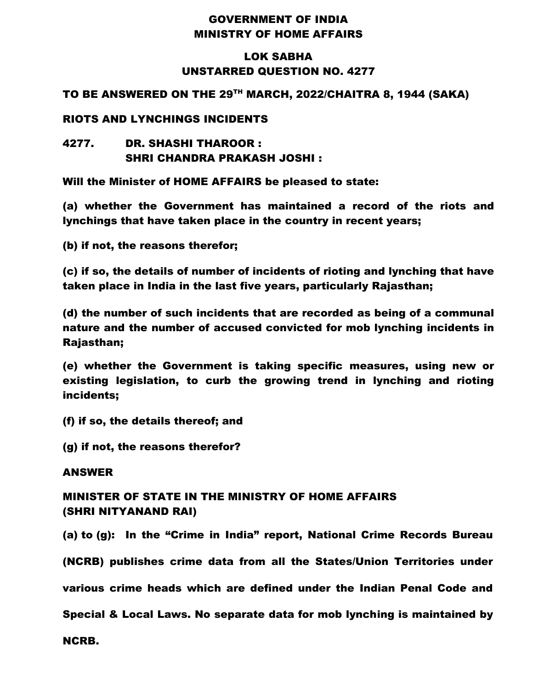## GOVERNMENT OF INDIA MINISTRY OF HOME AFFAIRS

## LOK SABHA UNSTARRED QUESTION NO. 4277

### TO BE ANSWERED ON THE 29TH MARCH, 2022/CHAITRA 8, 1944 (SAKA)

#### RIOTS AND LYNCHINGS INCIDENTS

## 4277. DR. SHASHI THAROOR : SHRI CHANDRA PRAKASH JOSHI :

Will the Minister of HOME AFFAIRS be pleased to state:

(a) whether the Government has maintained a record of the riots and lynchings that have taken place in the country in recent years;

(b) if not, the reasons therefor;

(c) if so, the details of number of incidents of rioting and lynching that have taken place in India in the last five years, particularly Rajasthan;

(d) the number of such incidents that are recorded as being of a communal nature and the number of accused convicted for mob lynching incidents in Rajasthan;

(e) whether the Government is taking specific measures, using new or existing legislation, to curb the growing trend in lynching and rioting incidents;

(f) if so, the details thereof; and

(g) if not, the reasons therefor?

#### ANSWER

# MINISTER OF STATE IN THE MINISTRY OF HOME AFFAIRS (SHRI NITYANAND RAI)

(a) to (g): In the "Crime in India" report, National Crime Records Bureau

(NCRB) publishes crime data from all the States/Union Territories under

various crime heads which are defined under the Indian Penal Code and

Special & Local Laws. No separate data for mob lynching is maintained by

NCRB.